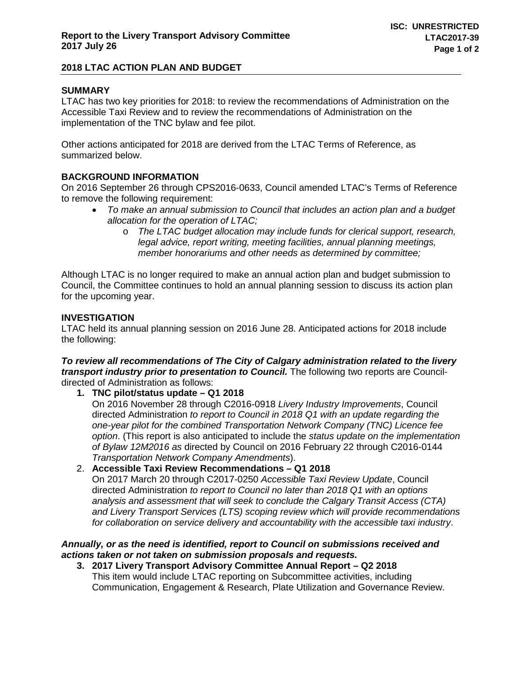# **2018 LTAC ACTION PLAN AND BUDGET**

# **SUMMARY**

LTAC has two key priorities for 2018: to review the recommendations of Administration on the Accessible Taxi Review and to review the recommendations of Administration on the implementation of the TNC bylaw and fee pilot.

Other actions anticipated for 2018 are derived from the LTAC Terms of Reference, as summarized below.

## **BACKGROUND INFORMATION**

On 2016 September 26 through CPS2016-0633, Council amended LTAC's Terms of Reference to remove the following requirement:

- *To make an annual submission to Council that includes an action plan and a budget allocation for the operation of LTAC;*
	- o *The LTAC budget allocation may include funds for clerical support, research, legal advice, report writing, meeting facilities, annual planning meetings, member honorariums and other needs as determined by committee;*

Although LTAC is no longer required to make an annual action plan and budget submission to Council, the Committee continues to hold an annual planning session to discuss its action plan for the upcoming year.

### **INVESTIGATION**

LTAC held its annual planning session on 2016 June 28. Anticipated actions for 2018 include the following:

#### *To review all recommendations of The City of Calgary administration related to the livery transport industry prior to presentation to Council.* The following two reports are Councildirected of Administration as follows:

**1. TNC pilot/status update – Q1 2018**

On 2016 November 28 through C2016-0918 *Livery Industry Improvements*, Council directed Administration *to report to Council in 2018 Q1 with an update regarding the one-year pilot for the combined Transportation Network Company (TNC) Licence fee option*. (This report is also anticipated to include the *status update on the implementation of Bylaw 12M2016 as* directed by Council on 2016 February 22 through C2016-0144 *Transportation Network Company Amendments*).

2. **Accessible Taxi Review Recommendations – Q1 2018** On 2017 March 20 through C2017-0250 *Accessible Taxi Review Update*, Council directed Administration *to report to Council no later than 2018 Q1 with an options analysis and assessment that will seek to conclude the Calgary Transit Access (CTA) and Livery Transport Services (LTS) scoping review which will provide recommendations for collaboration on service delivery and accountability with the accessible taxi industry*.

### *Annually, or as the need is identified, report to Council on submissions received and actions taken or not taken on submission proposals and requests.*

**3. 2017 Livery Transport Advisory Committee Annual Report – Q2 2018** This item would include LTAC reporting on Subcommittee activities, including Communication, Engagement & Research, Plate Utilization and Governance Review.